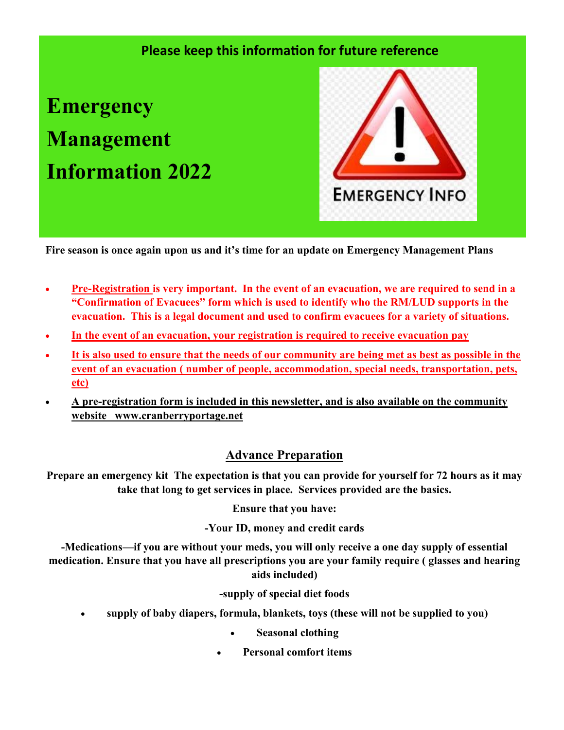## **Please keep this information for future reference**

**Emergency Management Information 2022**



**Fire season is once again upon us and it's time for an update on Emergency Management Plans**

- **Pre-Registration is very important. In the event of an evacuation, we are required to send in a "Confirmation of Evacuees" form which is used to identify who the RM/LUD supports in the evacuation. This is a legal document and used to confirm evacuees for a variety of situations.**
- **In the event of an evacuation, your registration is required to receive evacuation pay**
- **It is also used to ensure that the needs of our community are being met as best as possible in the event of an evacuation ( number of people, accommodation, special needs, transportation, pets, etc)**
- **A pre-registration form is included in this newsletter, and is also available on the community website www.cranberryportage.net**

### **Advance Preparation**

**Prepare an emergency kit The expectation is that you can provide for yourself for 72 hours as it may take that long to get services in place. Services provided are the basics.**

**Ensure that you have:**

**-Your ID, money and credit cards**

**-Medications—if you are without your meds, you will only receive a one day supply of essential medication. Ensure that you have all prescriptions you are your family require ( glasses and hearing aids included)** 

**-supply of special diet foods** 

- **supply of baby diapers, formula, blankets, toys (these will not be supplied to you)**
	- **Seasonal clothing**
	- **Personal comfort items**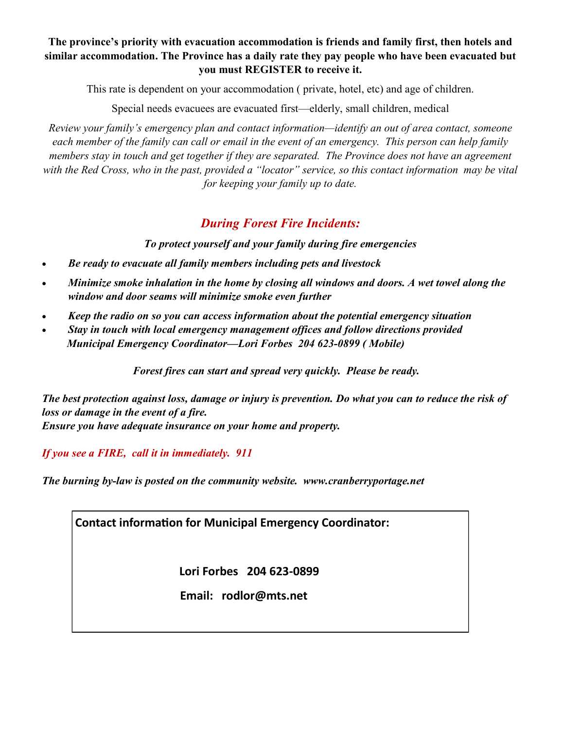#### **The province's priority with evacuation accommodation is friends and family first, then hotels and similar accommodation. The Province has a daily rate they pay people who have been evacuated but you must REGISTER to receive it.**

This rate is dependent on your accommodation ( private, hotel, etc) and age of children.

Special needs evacuees are evacuated first—elderly, small children, medical

*Review your family's emergency plan and contact information—identify an out of area contact, someone each member of the family can call or email in the event of an emergency. This person can help family members stay in touch and get together if they are separated. The Province does not have an agreement with the Red Cross, who in the past, provided a "locator" service, so this contact information may be vital for keeping your family up to date.* 

### *During Forest Fire Incidents:*

*To protect yourself and your family during fire emergencies*

- *Be ready to evacuate all family members including pets and livestock*
- *Minimize smoke inhalation in the home by closing all windows and doors. A wet towel along the window and door seams will minimize smoke even further*
- *Keep the radio on so you can access information about the potential emergency situation*
- *Stay in touch with local emergency management offices and follow directions provided Municipal Emergency Coordinator—Lori Forbes 204 623-0899 ( Mobile)*

 *Forest fires can start and spread very quickly. Please be ready.* 

*The best protection against loss, damage or injury is prevention. Do what you can to reduce the risk of loss or damage in the event of a fire. Ensure you have adequate insurance on your home and property.* 

*If you see a FIRE, call it in immediately. 911* 

*The burning by-law is posted on the community website. www.cranberryportage.net* 

**Contact information for Municipal Emergency Coordinator:**

**Lori Forbes 204 623-0899** 

 **Email: rodlor@mts.net**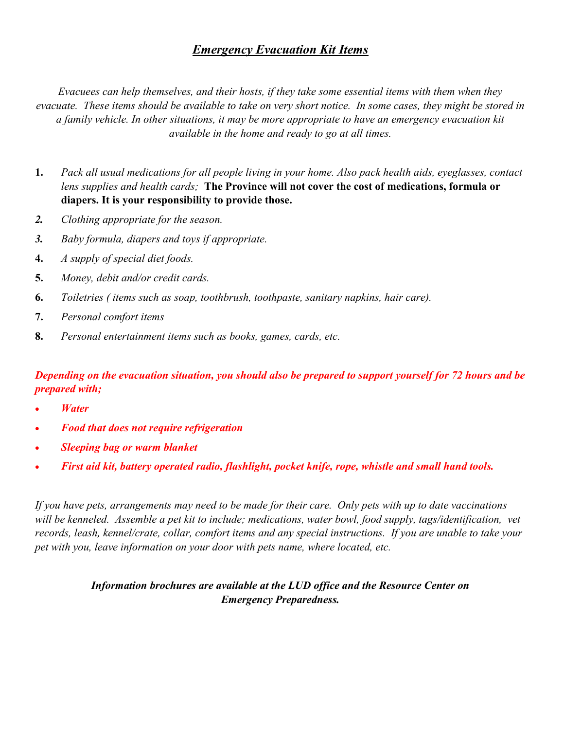### *Emergency Evacuation Kit Items*

*Evacuees can help themselves, and their hosts, if they take some essential items with them when they evacuate. These items should be available to take on very short notice. In some cases, they might be stored in a family vehicle. In other situations, it may be more appropriate to have an emergency evacuation kit available in the home and ready to go at all times.* 

- **1.** *Pack all usual medications for all people living in your home. Also pack health aids, eyeglasses, contact lens supplies and health cards;* **The Province will not cover the cost of medications, formula or diapers. It is your responsibility to provide those.**
- *2. Clothing appropriate for the season.*
- *3. Baby formula, diapers and toys if appropriate.*
- **4.** *A supply of special diet foods.*
- **5.** *Money, debit and/or credit cards.*
- **6.** *Toiletries ( items such as soap, toothbrush, toothpaste, sanitary napkins, hair care).*
- **7.** *Personal comfort items*
- **8.** *Personal entertainment items such as books, games, cards, etc.*

#### *Depending on the evacuation situation, you should also be prepared to support yourself for 72 hours and be prepared with;*

- *Water*
- *Food that does not require refrigeration*
- *Sleeping bag or warm blanket*
- *First aid kit, battery operated radio, flashlight, pocket knife, rope, whistle and small hand tools.*

*If you have pets, arrangements may need to be made for their care. Only pets with up to date vaccinations*  will be kenneled. Assemble a pet kit to include; medications, water bowl, food supply, tags/identification, vet *records, leash, kennel/crate, collar, comfort items and any special instructions. If you are unable to take your pet with you, leave information on your door with pets name, where located, etc.* 

#### *Information brochures are available at the LUD office and the Resource Center on Emergency Preparedness.*